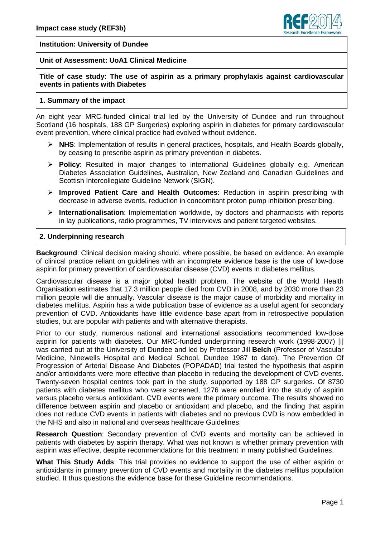

### **Institution: University of Dundee**

### **Unit of Assessment: UoA1 Clinical Medicine**

## **Title of case study: The use of aspirin as a primary prophylaxis against cardiovascular events in patients with Diabetes**

#### **1. Summary of the impact**

An eight year MRC-funded clinical trial led by the University of Dundee and run throughout Scotland (16 hospitals, 188 GP Surgeries) exploring aspirin in diabetes for primary cardiovascular event prevention, where clinical practice had evolved without evidence.

- **NHS**: Implementation of results in general practices, hospitals, and Health Boards globally, by ceasing to prescribe aspirin as primary prevention in diabetes.
- **Policy**: Resulted in major changes to international Guidelines globally e.g. American Diabetes Association Guidelines, Australian, New Zealand and Canadian Guidelines and Scottish Intercollegiate Guideline Network (SIGN).
- **Improved Patient Care and Health Outcomes**: Reduction in aspirin prescribing with decrease in adverse events, reduction in concomitant proton pump inhibition prescribing.
- **Internationalisation**: Implementation worldwide, by doctors and pharmacists with reports in lay publications, radio programmes, TV interviews and patient targeted websites.

# **2. Underpinning research**

**Background**: Clinical decision making should, where possible, be based on evidence. An example of clinical practice reliant on guidelines with an incomplete evidence base is the use of low-dose aspirin for primary prevention of cardiovascular disease (CVD) events in diabetes mellitus.

Cardiovascular disease is a major global health problem. The website of the World Health Organisation estimates that 17.3 million people died from CVD in 2008, and by 2030 more than 23 million people will die annually. Vascular disease is the major cause of morbidity and mortality in diabetes mellitus. Aspirin has a wide publication base of evidence as a useful agent for secondary prevention of CVD. Antioxidants have little evidence base apart from in retrospective population studies, but are popular with patients and with alternative therapists.

Prior to our study, numerous national and international associations recommended low-dose aspirin for patients with diabetes. Our MRC-funded underpinning research work (1998‐2007) [i] was carried out at the University of Dundee and led by Professor Jill **Belch** (Professor of Vascular Medicine, Ninewells Hospital and Medical School, Dundee 1987 to date). The Prevention Of Progression of Arterial Disease And Diabetes (POPADAD) trial tested the hypothesis that aspirin and/or antioxidants were more effective than placebo in reducing the development of CVD events. Twenty-seven hospital centres took part in the study, supported by 188 GP surgeries. Of 8730 patients with diabetes mellitus who were screened, 1276 were enrolled into the study of aspirin versus placebo versus antioxidant. CVD events were the primary outcome. The results showed no difference between aspirin and placebo or antioxidant and placebo, and the finding that aspirin does not reduce CVD events in patients with diabetes and no previous CVD is now embedded in the NHS and also in national and overseas healthcare Guidelines.

**Research Question**: Secondary prevention of CVD events and mortality can be achieved in patients with diabetes by aspirin therapy. What was not known is whether primary prevention with aspirin was effective, despite recommendations for this treatment in many published Guidelines.

**What This Study Adds**: This trial provides no evidence to support the use of either aspirin or antioxidants in primary prevention of CVD events and mortality in the diabetes mellitus population studied. It thus questions the evidence base for these Guideline recommendations.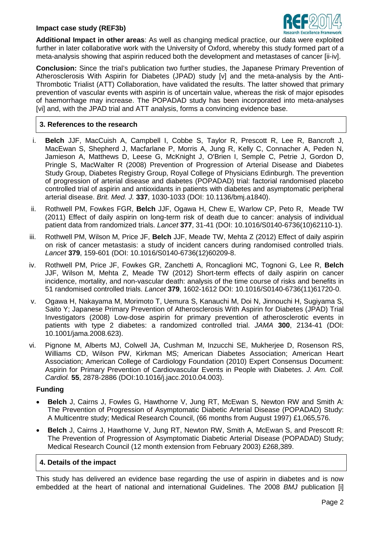### **Impact case study (REF3b)**



**Additional Impact in other areas**: As well as changing medical practice, our data were exploited further in later collaborative work with the University of Oxford, whereby this study formed part of a meta-analysis showing that aspirin reduced both the development and metastases of cancer [ii-iv].

**Conclusion:** Since the trial's publication two further studies, the Japanese Primary Prevention of Atherosclerosis With Aspirin for Diabetes (JPAD) study [v] and the meta-analysis by the Anti-Thrombotic Trialist (ATT) Collaboration, have validated the results. The latter showed that primary prevention of vascular events with aspirin is of uncertain value, whereas the risk of major episodes of haemorrhage may increase. The POPADAD study has been incorporated into meta-analyses [vi] and, with the JPAD trial and ATT analysis, forms a convincing evidence base.

# **3. References to the research**

- i. **Belch** JJF, MacCuish A, Campbell I, Cobbe S, Taylor R, Prescott R, Lee R, Bancroft J, MacEwan S, Shepherd J, Macfarlane P, Morris A, Jung R, Kelly C, Connacher A, Peden N, Jamieson A, Matthews D, Leese G, McKnight J, O'Brien I, Semple C, Petrie J, Gordon D, Pringle S, MacWalter R (2008) Prevention of Progression of Arterial Disease and Diabetes Study Group, Diabetes Registry Group, Royal College of Physicians Edinburgh. The prevention of progression of arterial disease and diabetes (POPADAD) trial: factorial randomised placebo controlled trial of aspirin and antioxidants in patients with diabetes and asymptomatic peripheral arterial disease. *Brit. Med. J.* **337**, 1030-1033 (DOI: 10.1136/bmj.a1840).
- ii. Rothwell PM, Fowkes FGR, **Belch** JJF, Ogawa H, Chew E, Warlow CP, Peto R, Meade TW (2011) Effect of daily aspirin on long-term risk of death due to cancer: analysis of individual patient data from randomized trials. *Lancet* **377**, 31-41 (DOI: 10.1016/S0140-6736(10)62110-1).
- iii. Rothwell PM, Wilson M, Price JF, **Belch** JJF, Meade TW, Mehta Z (2012) Effect of daily aspirin on risk of cancer metastasis: a study of incident cancers during randomised controlled trials. *Lancet* **379**, 159-601 (DOI: 10.1016/S0140-6736(12)60209-8.
- iv. Rothwell PM, Price JF, Fowkes GR, Zanchetti A, Roncaglioni MC, Tognoni G, Lee R, **Belch** JJF, Wilson M, Mehta Z, Meade TW (2012) Short-term effects of daily aspirin on cancer incidence, mortality, and non-vascular death: analysis of the time course of risks and benefits in 51 randomised controlled trials. *Lancet* **379**, 1602-1612 DOI: 10.1016/S0140-6736(11)61720-0.
- v. Ogawa H, Nakayama M, Morimoto T, Uemura S, Kanauchi M, Doi N, Jinnouchi H, Sugiyama S, Saito Y; Japanese Primary Prevention of Atherosclerosis With Aspirin for Diabetes (JPAD) Trial Investigators (2008) Low-dose aspirin for primary prevention of atherosclerotic events in patients with type 2 diabetes: a randomized controlled trial. *JAMA* **300**, 2134-41 (DOI: 10.1001/jama.2008.623).
- vi. Pignone M, Alberts MJ, Colwell JA, Cushman M, Inzucchi SE, Mukherjee D, Rosenson RS, Williams CD, Wilson PW, Kirkman MS; American Diabetes Association; American Heart Association; American College of Cardiology Foundation (2010) Expert Consensus Document: Aspirin for Primary Prevention of Cardiovascular Events in People with Diabetes. *J. Am. Coll. Cardiol.* **55**, 2878-2886 (DOI:10.1016/j.jacc.2010.04.003).

#### **Funding**

- **Belch** J, Cairns J, Fowles G, Hawthorne V, Jung RT, McEwan S, Newton RW and Smith A: The Prevention of Progression of Asymptomatic Diabetic Arterial Disease (POPADAD) Study: A Multicentre study; Medical Research Council, (66 months from August 1997) £1,065,576.
- **Belch** J, Cairns J, Hawthorne V, Jung RT, Newton RW, Smith A, McEwan S, and Prescott R: The Prevention of Progression of Asymptomatic Diabetic Arterial Disease (POPADAD) Study; Medical Research Council (12 month extension from February 2003) £268,389.

# **4. Details of the impact**

This study has delivered an evidence base regarding the use of aspirin in diabetes and is now embedded at the heart of national and international Guidelines. The 2008 *BMJ* publication [i]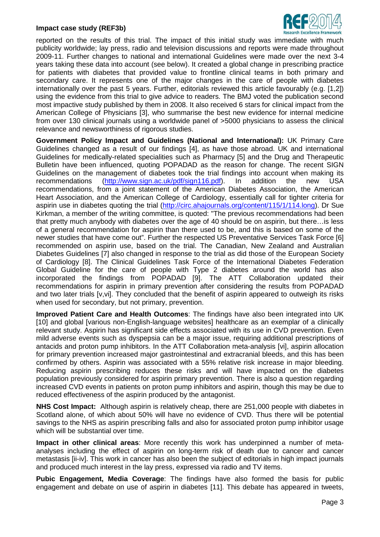#### **Impact case study (REF3b)**



reported on the results of this trial. The impact of this initial study was immediate with much publicity worldwide; lay press, radio and television discussions and reports were made throughout 2009-11. Further changes to national and international Guidelines were made over the next 3-4 years taking these data into account (see below). It created a global change in prescribing practice for patients with diabetes that provided value to frontline clinical teams in both primary and secondary care. It represents one of the major changes in the care of people with diabetes internationally over the past 5 years. Further, editorials reviewed this article favourably (e.g. [1,2]) using the evidence from this trial to give advice to readers. The BMJ voted the publication second most impactive study published by them in 2008. It also received 6 stars for clinical impact from the American College of Physicians [3], who summarise the best new evidence for internal medicine from over 130 clinical journals using a worldwide panel of >5000 physicians to assess the clinical relevance and newsworthiness of rigorous studies.

**Government Policy Impact and Guidelines (National and International):** UK Primary Care Guidelines changed as a result of our findings [4], as have those abroad. UK and international Guidelines for medically-related specialities such as Pharmacy [5] and the Drug and Therapeutic Bulletin have been influenced, quoting POPADAD as the reason for change. The recent SIGN Guidelines on the management of diabetes took the trial findings into account when making its recommendations [\(http://www.sign.ac.uk/pdf/sign116.pdf\)](http://www.sign.ac.uk/pdf/sign116.pdf). In addition the new USA recommendations, from a joint statement of the American Diabetes Association, the American Heart Association, and the American College of Cardiology, essentially call for tighter criteria for aspirin use in diabetes quoting the trial [\(http://circ.ahajournals.org/content/115/1/114.long\)](http://circ.ahajournals.org/content/115/1/114.long). Dr Sue Kirkman, a member of the writing committee, is quoted: "The previous recommendations had been that pretty much anybody with diabetes over the age of 40 should be on aspirin, but there…is less of a general recommendation for aspirin than there used to be, and this is based on some of the newer studies that have come out". Further the respected US Preventative Services Task Force [6] recommended on aspirin use, based on the trial. The Canadian, New Zealand and Australian Diabetes Guidelines [7] also changed in response to the trial as did those of the European Society of Cardiology [8]. The Clinical Guidelines Task Force of the International Diabetes Federation Global Guideline for the care of people with Type 2 diabetes around the world has also incorporated the findings from POPADAD [9]. The ATT Collaboration updated their recommendations for aspirin in primary prevention after considering the results from POPADAD and two later trials [v,vi]. They concluded that the benefit of aspirin appeared to outweigh its risks when used for secondary, but not primary, prevention.

**Improved Patient Care and Health Outcomes**: The findings have also been integrated into UK [10] and global [various non-English-language websites] healthcare as an exemplar of a clinically relevant study. Aspirin has significant side effects associated with its use in CVD prevention. Even mild adverse events such as dyspepsia can be a major issue, requiring additional prescriptions of antacids and proton pump inhibitors. In the ATT Collaboration meta-analysis [vi], aspirin allocation for primary prevention increased major gastrointestinal and extracranial bleeds, and this has been confirmed by others. Aspirin was associated with a 55% relative risk increase in major bleeding. Reducing aspirin prescribing reduces these risks and will have impacted on the diabetes population previously considered for aspirin primary prevention. There is also a question regarding increased CVD events in patients on proton pump inhibitors and aspirin, though this may be due to reduced effectiveness of the aspirin produced by the antagonist.

**NHS Cost Impact:** Although aspirin is relatively cheap, there are 251,000 people with diabetes in Scotland alone, of which about 50% will have no evidence of CVD. Thus there will be potential savings to the NHS as aspirin prescribing falls and also for associated proton pump inhibitor usage which will be substantial over time.

**Impact in other clinical areas**: More recently this work has underpinned a number of metaanalyses including the effect of aspirin on long-term risk of death due to cancer and cancer metastasis [ii-iv]. This work in cancer has also been the subject of editorials in high impact journals and produced much interest in the lay press, expressed via radio and TV items.

**Pubic Engagement, Media Coverage**: The findings have also formed the basis for public engagement and debate on use of aspirin in diabetes [11]. This debate has appeared in tweets,